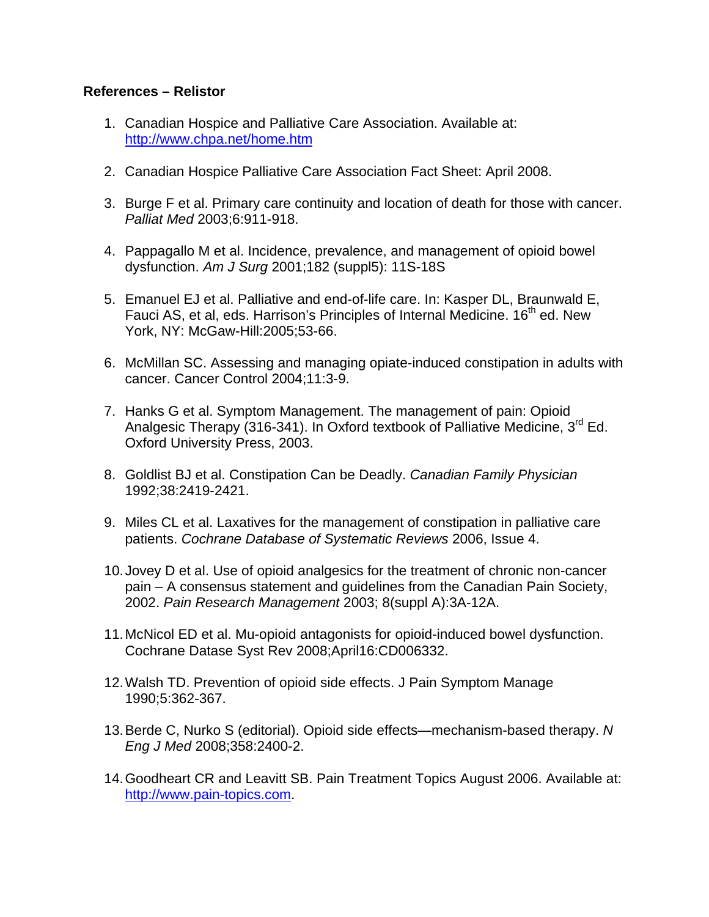## **References – Relistor**

- 1. Canadian Hospice and Palliative Care Association. Available at: <http://www.chpa.net/home.htm>
- 2. Canadian Hospice Palliative Care Association Fact Sheet: April 2008.
- 3. Burge F et al. Primary care continuity and location of death for those with cancer. *Palliat Med* 2003;6:911-918.
- 4. Pappagallo M et al. Incidence, prevalence, and management of opioid bowel dysfunction. *Am J Surg* 2001;182 (suppl5): 11S-18S
- 5. Emanuel EJ et al. Palliative and end-of-life care. In: Kasper DL, Braunwald E, Fauci AS, et al, eds. Harrison's Principles of Internal Medicine. 16<sup>th</sup> ed. New York, NY: McGaw-Hill:2005;53-66.
- 6. McMillan SC. Assessing and managing opiate-induced constipation in adults with cancer. Cancer Control 2004;11:3-9.
- 7. Hanks G et al. Symptom Management. The management of pain: Opioid Analgesic Therapy (316-341). In Oxford textbook of Palliative Medicine, 3<sup>rd</sup> Ed. Oxford University Press, 2003.
- 8. Goldlist BJ et al. Constipation Can be Deadly. *Canadian Family Physician* 1992;38:2419-2421.
- 9. Miles CL et al. Laxatives for the management of constipation in palliative care patients. *Cochrane Database of Systematic Reviews* 2006, Issue 4.
- 10. Jovey D et al. Use of opioid analgesics for the treatment of chronic non-cancer pain – A consensus statement and guidelines from the Canadian Pain Society, 2002. *Pain Research Management* 2003; 8(suppl A):3A-12A.
- 11. McNicol ED et al. Mu-opioid antagonists for opioid-induced bowel dysfunction. Cochrane Datase Syst Rev 2008;April16:CD006332.
- 12. Walsh TD. Prevention of opioid side effects. J Pain Symptom Manage 1990;5:362-367.
- 13. Berde C, Nurko S (editorial). Opioid side effects—mechanism-based therapy. *N Eng J Med* 2008;358:2400-2.
- 14. Goodheart CR and Leavitt SB. Pain Treatment Topics August 2006. Available at: [http://www.pain-topics.com](http://www.pain-topics.com/).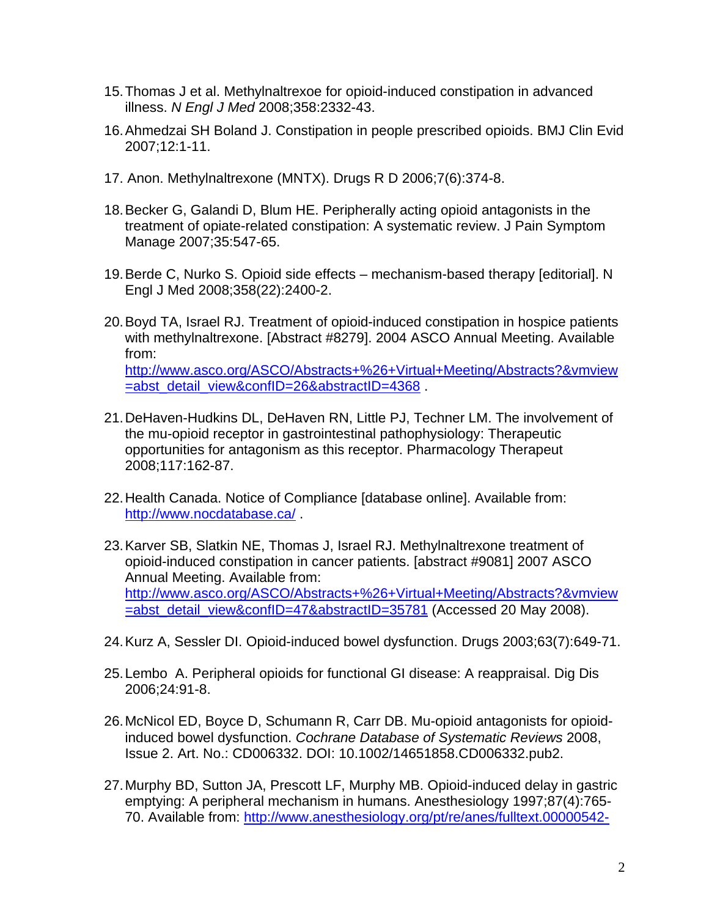- 15. Thomas J et al. Methylnaltrexoe for opioid-induced constipation in advanced illness. *N Engl J Med* 2008;358:2332-43.
- 16. Ahmedzai SH Boland J. Constipation in people prescribed opioids. BMJ Clin Evid 2007;12:1-11.
- 17. Anon. Methylnaltrexone (MNTX). Drugs R D 2006;7(6):374-8.
- 18. Becker G, Galandi D, Blum HE. Peripherally acting opioid antagonists in the treatment of opiate-related constipation: A systematic review. J Pain Symptom Manage 2007;35:547-65.
- 19. Berde C, Nurko S. Opioid side effects mechanism-based therapy [editorial]. N Engl J Med 2008;358(22):2400-2.
- 20. Boyd TA, Israel RJ. Treatment of opioid-induced constipation in hospice patients with methylnaltrexone. [Abstract #8279]. 2004 ASCO Annual Meeting. Available from: [http://www.asco.org/ASCO/Abstracts+%26+Virtual+Meeting/Abstracts?&vmview](http://www.asco.org/ASCO/Abstracts+%26+Virtual+Meeting/Abstracts?&vmview=abst_detail_view&confID=26&abstractID=4368) [=abst\\_detail\\_view&confID=26&abstractID=4368](http://www.asco.org/ASCO/Abstracts+%26+Virtual+Meeting/Abstracts?&vmview=abst_detail_view&confID=26&abstractID=4368) .
- 21. DeHaven-Hudkins DL, DeHaven RN, Little PJ, Techner LM. The involvement of the mu-opioid receptor in gastrointestinal pathophysiology: Therapeutic opportunities for antagonism as this receptor. Pharmacology Therapeut 2008;117:162-87.
- 22. Health Canada. Notice of Compliance [database online]. Available from: <http://www.nocdatabase.ca/> .
- 23. Karver SB, Slatkin NE, Thomas J, Israel RJ. Methylnaltrexone treatment of opioid-induced constipation in cancer patients. [abstract #9081] 2007 ASCO Annual Meeting. Available from: [http://www.asco.org/ASCO/Abstracts+%26+Virtual+Meeting/Abstracts?&vmview](http://www.asco.org/ASCO/Abstracts+%26+Virtual+Meeting/Abstracts?&vmview=abst_detail_view&confID=47&abstractID=35781) [=abst\\_detail\\_view&confID=47&abstractID=35781](http://www.asco.org/ASCO/Abstracts+%26+Virtual+Meeting/Abstracts?&vmview=abst_detail_view&confID=47&abstractID=35781) (Accessed 20 May 2008).
- 24. Kurz A, Sessler DI. Opioid-induced bowel dysfunction. Drugs 2003;63(7):649-71.
- 25. Lembo A. Peripheral opioids for functional GI disease: A reappraisal. Dig Dis 2006;24:91-8.
- 26. McNicol ED, Boyce D, Schumann R, Carr DB. Mu-opioid antagonists for opioidinduced bowel dysfunction. *Cochrane Database of Systematic Reviews* 2008, Issue 2. Art. No.: CD006332. DOI: 10.1002/14651858.CD006332.pub2.
- 27. Murphy BD, Sutton JA, Prescott LF, Murphy MB. Opioid-induced delay in gastric emptying: A peripheral mechanism in humans. Anesthesiology 1997;87(4):765- 70. Available from: [http://www.anesthesiology.org/pt/re/anes/fulltext.00000542-](http://www.anesthesiology.org/pt/re/anes/fulltext.00000542-199710000-00008.htm;jsessionid=L8XGgB41pr1BTy0L26p1gnJvgynGvjf7CZyTpNVJnHdcNLs2Jjhs!195308708!181195628!8091!-1)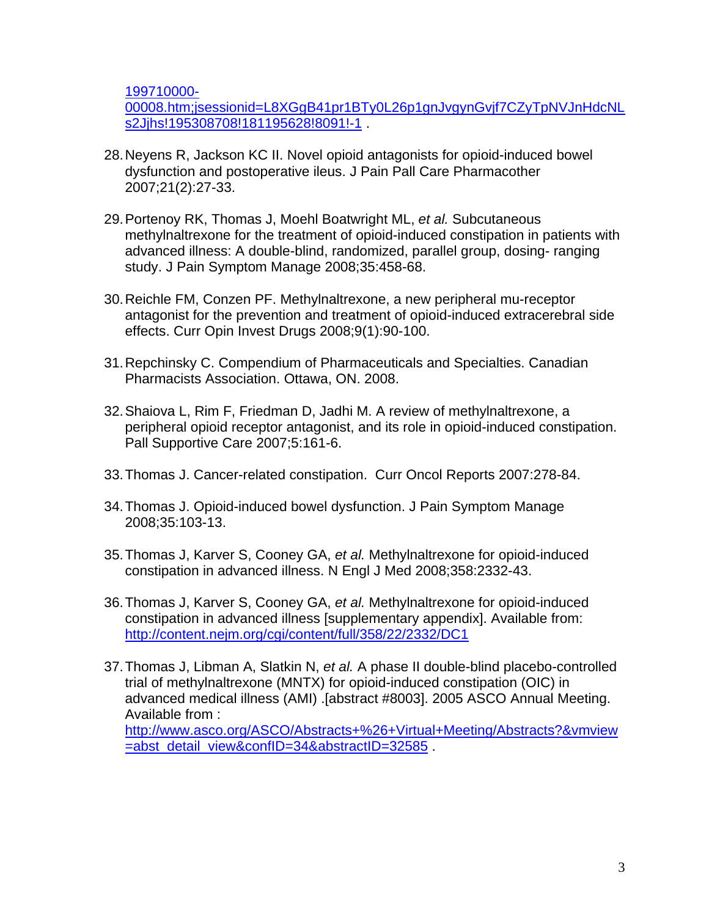[199710000-](http://www.anesthesiology.org/pt/re/anes/fulltext.00000542-199710000-00008.htm;jsessionid=L8XGgB41pr1BTy0L26p1gnJvgynGvjf7CZyTpNVJnHdcNLs2Jjhs!195308708!181195628!8091!-1)

[00008.htm;jsessionid=L8XGgB41pr1BTy0L26p1gnJvgynGvjf7CZyTpNVJnHdcNL](http://www.anesthesiology.org/pt/re/anes/fulltext.00000542-199710000-00008.htm;jsessionid=L8XGgB41pr1BTy0L26p1gnJvgynGvjf7CZyTpNVJnHdcNLs2Jjhs!195308708!181195628!8091!-1) [s2Jjhs!195308708!181195628!8091!-1](http://www.anesthesiology.org/pt/re/anes/fulltext.00000542-199710000-00008.htm;jsessionid=L8XGgB41pr1BTy0L26p1gnJvgynGvjf7CZyTpNVJnHdcNLs2Jjhs!195308708!181195628!8091!-1) .

- 28. Neyens R, Jackson KC II. Novel opioid antagonists for opioid-induced bowel dysfunction and postoperative ileus. J Pain Pall Care Pharmacother 2007;21(2):27-33.
- 29. Portenoy RK, Thomas J, Moehl Boatwright ML, *et al.* Subcutaneous methylnaltrexone for the treatment of opioid-induced constipation in patients with advanced illness: A double-blind, randomized, parallel group, dosing- ranging study. J Pain Symptom Manage 2008;35:458-68.
- 30. Reichle FM, Conzen PF. Methylnaltrexone, a new peripheral mu-receptor antagonist for the prevention and treatment of opioid-induced extracerebral side effects. Curr Opin Invest Drugs 2008;9(1):90-100.
- 31. Repchinsky C. Compendium of Pharmaceuticals and Specialties. Canadian Pharmacists Association. Ottawa, ON. 2008.
- 32. Shaiova L, Rim F, Friedman D, Jadhi M. A review of methylnaltrexone, a peripheral opioid receptor antagonist, and its role in opioid-induced constipation. Pall Supportive Care 2007;5:161-6.
- 33. Thomas J. Cancer-related constipation. Curr Oncol Reports 2007:278-84.
- 34. Thomas J. Opioid-induced bowel dysfunction. J Pain Symptom Manage 2008;35:103-13.
- 35. Thomas J, Karver S, Cooney GA, *et al.* Methylnaltrexone for opioid-induced constipation in advanced illness. N Engl J Med 2008;358:2332-43.
- 36. Thomas J, Karver S, Cooney GA, *et al.* Methylnaltrexone for opioid-induced constipation in advanced illness [supplementary appendix]. Available from: <http://content.nejm.org/cgi/content/full/358/22/2332/DC1>
- 37. Thomas J, Libman A, Slatkin N, *et al.* A phase II double-blind placebo-controlled trial of methylnaltrexone (MNTX) for opioid-induced constipation (OIC) in advanced medical illness (AMI) .[abstract #8003]. 2005 ASCO Annual Meeting. Available from :

[http://www.asco.org/ASCO/Abstracts+%26+Virtual+Meeting/Abstracts?&vmview](http://www.asco.org/ASCO/Abstracts+%26+Virtual+Meeting/Abstracts?&vmview=abst_detail_view&confID=34&abstractID=32585) [=abst\\_detail\\_view&confID=34&abstractID=32585](http://www.asco.org/ASCO/Abstracts+%26+Virtual+Meeting/Abstracts?&vmview=abst_detail_view&confID=34&abstractID=32585) .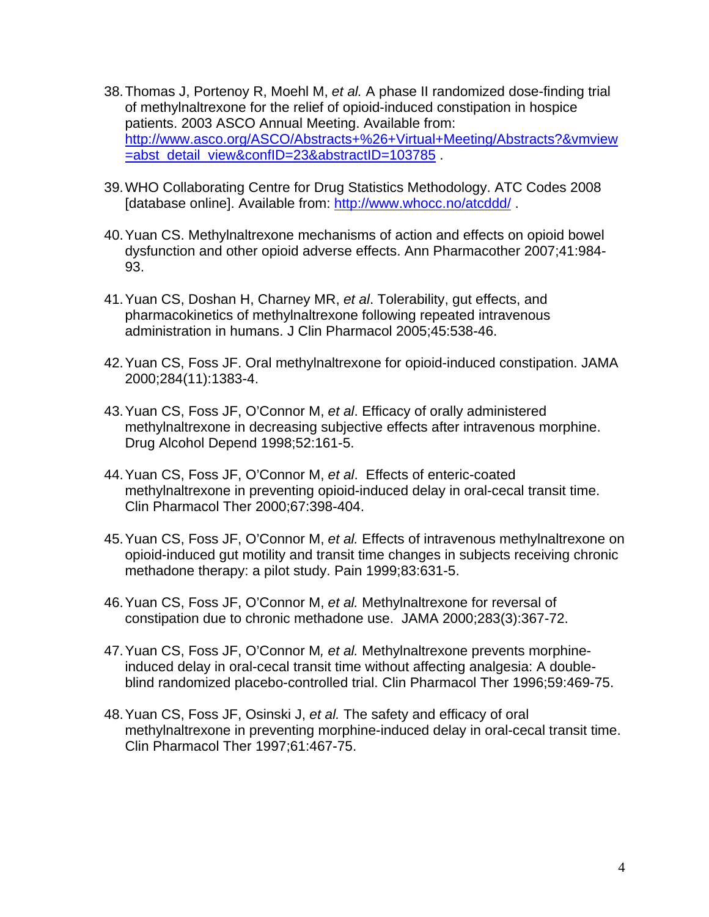- 38. Thomas J, Portenoy R, Moehl M, *et al.* A phase II randomized dose-finding trial of methylnaltrexone for the relief of opioid-induced constipation in hospice patients. 2003 ASCO Annual Meeting. Available from: [http://www.asco.org/ASCO/Abstracts+%26+Virtual+Meeting/Abstracts?&vmview](http://www.asco.org/ASCO/Abstracts+%26+Virtual+Meeting/Abstracts?&vmview=abst_detail_view&confID=23&abstractID=103785) [=abst\\_detail\\_view&confID=23&abstractID=103785](http://www.asco.org/ASCO/Abstracts+%26+Virtual+Meeting/Abstracts?&vmview=abst_detail_view&confID=23&abstractID=103785) .
- 39. WHO Collaborating Centre for Drug Statistics Methodology. ATC Codes 2008 [database online]. Available from: <http://www.whocc.no/atcddd/>.
- 40. Yuan CS. Methylnaltrexone mechanisms of action and effects on opioid bowel dysfunction and other opioid adverse effects. Ann Pharmacother 2007;41:984- 93.
- 41. Yuan CS, Doshan H, Charney MR, *et al*. Tolerability, gut effects, and pharmacokinetics of methylnaltrexone following repeated intravenous administration in humans. J Clin Pharmacol 2005;45:538-46.
- 42. Yuan CS, Foss JF. Oral methylnaltrexone for opioid-induced constipation. JAMA 2000;284(11):1383-4.
- 43. Yuan CS, Foss JF, O'Connor M, *et al*. Efficacy of orally administered methylnaltrexone in decreasing subjective effects after intravenous morphine. Drug Alcohol Depend 1998;52:161-5.
- 44. Yuan CS, Foss JF, O'Connor M, *et al*. Effects of enteric-coated methylnaltrexone in preventing opioid-induced delay in oral-cecal transit time. Clin Pharmacol Ther 2000;67:398-404.
- 45. Yuan CS, Foss JF, O'Connor M, *et al.* Effects of intravenous methylnaltrexone on opioid-induced gut motility and transit time changes in subjects receiving chronic methadone therapy: a pilot study. Pain 1999;83:631-5.
- 46. Yuan CS, Foss JF, O'Connor M, *et al.* Methylnaltrexone for reversal of constipation due to chronic methadone use. JAMA 2000;283(3):367-72.
- 47. Yuan CS, Foss JF, O'Connor M*, et al.* Methylnaltrexone prevents morphineinduced delay in oral-cecal transit time without affecting analgesia: A doubleblind randomized placebo-controlled trial. Clin Pharmacol Ther 1996;59:469-75.
- 48. Yuan CS, Foss JF, Osinski J, *et al.* The safety and efficacy of oral methylnaltrexone in preventing morphine-induced delay in oral-cecal transit time. Clin Pharmacol Ther 1997;61:467-75.